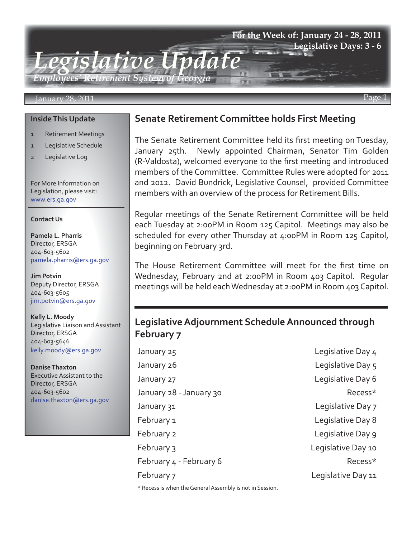# *Legislative Update Employees' Retirement System of Georgia* **For the Week of: January 24 - 28, 2011 Legislative Days: 3 - 6**

### January 28, 2011 Page 1

### **Inside This Update**

- 1 Retirement Meetings
- 1 Legislative Schedule
- 2 Legislative Log

For More Information on Legislation, please visit: www.ers.ga.gov

#### **Contact Us**

**Pamela L. Pharris** Director, ERSGA 404-603-5602 pamela.pharris@ers.ga.gov

**Jim Potvin** Deputy Director, ERSGA 404-603-5605 jim.potvin@ers.ga.gov

**Kelly L. Moody** Legislative Liaison and Assistant Director, ERSGA 404-603-5646 kelly.moody@ers.ga.gov

**Danise Thaxton** Executive Assistant to the Director, ERSGA 404-603-5602 danise.thaxton@ers.ga.gov

### **Senate Retirement Committee holds First Meeting**

The Senate Retirement Committee held its first meeting on Tuesday, January 25th. Newly appointed Chairman, Senator Tim Golden (R-Valdosta), welcomed everyone to the first meeting and introduced members of the Committee. Committee Rules were adopted for 2011 and 2012. David Bundrick, Legislative Counsel, provided Committee members with an overview of the process for Retirement Bills.

Regular meetings of the Senate Retirement Committee will be held each Tuesday at 2:00PM in Room 125 Capitol. Meetings may also be scheduled for every other Thursday at 4:00PM in Room 125 Capitol, beginning on February 3rd.

The House Retirement Committee will meet for the first time on Wednesday, February 2nd at 2:00PM in Room 403 Capitol. Regular meetings will be held each Wednesday at 2:00PM in Room 403 Capitol.

## **Legislative Adjournment Schedule Announced through February 7**

January 25 Legislative Day 4 January 26 **Legislative Day 5** January 27 Legislative Day 6 January 28 - January 30 **Recess** \* January 31 Legislative Day 7 February 1 Legislative Day 8 February 2 Legislative Day 9 February 3 Legislative Day 10 February 4 - February 6 Recess\* February 7 Legislative Day 11

\* Recess is when the General Assembly is not in Session.